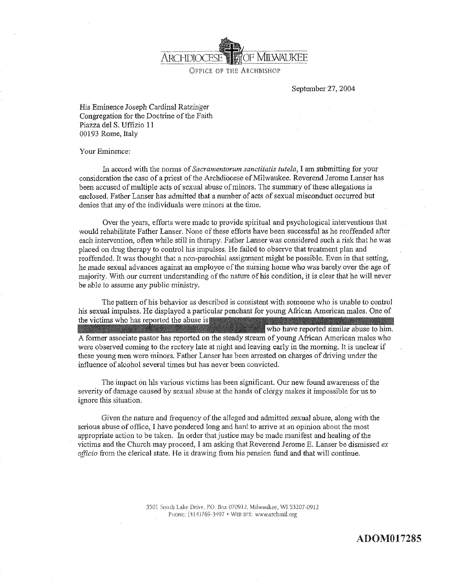

September 27,2004

Hìs Eminence Joseph Cardinal Ratzinger Congregaiion for the Doctrine of the Faith Piazza del S. Uffizio <sup>11</sup> 00193 Rome, Italy

Your Eminence:

In accord with the norms of Sacramentorum sanctitatis tutela, I am submitting for your consideration the case of a priest of the Archdiocese of Milwaukee. Reverend Jerome Lanser has been accused of multiple acts of sexual abuse of minors. The summary of these allegations is enclosed. Father Lanser has admitted that a number of acts of sexual misconduct occurred but denies that any of the individuals were minors at the time.

Over the years, efforts were made to provide spiritual and psychological interventions that would rehabilitate Father Lanser. None of these effbrts have been successful as he reoffended after each intervention, oflen while sfiìl in therapy. Father Lanser was considered such a risk that he was placed on drug therapy to control his impulses. He failecl to observe that treatment plan and reoffended. It was thought that a non-paroohial assignment might be possible. Even in that setting, he made sexual advances against an employee of the nursing home who was barely over the age of majority. With our current understanding of the nature of his condition, it is clear that he will never be able to assume any public ministry.

The pattern of his behavior as described is consistent with someone who is unable to control his sexual impuises, He displayed a pariicular penchant for young African American males. One of the victims who has reported the abuse is who have reported similar abuse to him. A former associate pastor has reported on the steady stream of young African American males who were observed coming to the rectory late at night and leaving early in the morning, It is unclear if these young men were minors. Father Lanser has been arrested on charges of driving under the influence of alcohol several times but has never been convicted.

The impact ón hîs various víctims has been significant. Our new found awareness of the seventy of damage caused by sexual abuse at the hands of clergy makes it impossible for us to ignore this situation.

Given the nature and frequency of the alleged and admitted sexual abuse, along with the serious abuse of office, I have pondered long and hard to arrive at an opinion about the most appropriate action to be taken. In order that justice may be made manifest and healing of the victims and the Church may proceed, I am asking that Reverend Jerome E. Lanser be dismissed  $ex$ officio from the clerical state. He is drawing from his pension fund and that will continue.

> 3501. South Lake Drive, P.O. Box 070912, Milwaukee, WI 53207-0912. PHONE: (414)769-3497 · WEB SITE: www.archmil.org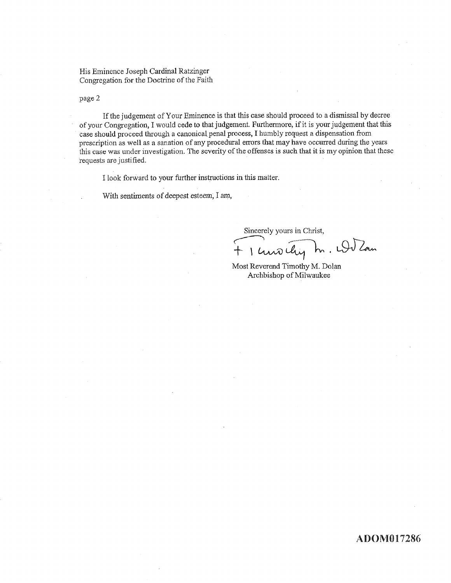His Eminence Joseph Cardinal Ratzinger Congregation for the Doctrine of the Faith

page 2

If the judgement of Your Eminence is that this case should proceed to a dismissal by decree of your Congregation, I would cede to that judgement. Furthermore, if it is your judgement that this case should proceed through a canonical penal process, I humbly request a dispensation from prescription as well as a sanation of any procedural errors that may have occurred during the years this case was under investigation. The severity of the offenses is such that it is my opinion that these requests are justified.

I look forward to your further instructions in this matter.

With sentiments of deepest esteem, I am,

Sincerely yours in Christ,

1 unoilig m. Wilson

Most Reverend Timothy M. Dolan Archbishop of Milwaukee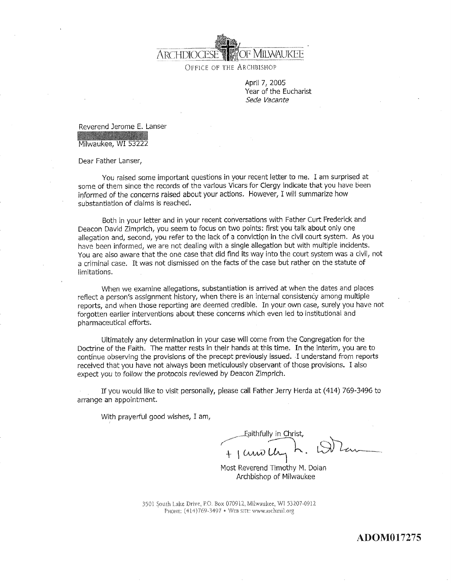

OFFICE OF THE ARCHBISHOP

April 7, 2005 Year of the Eucharist Sede Vacante

Reverend Jerome E. Lanser<br>Williams States

Milwaukee, WI53222

Dear Father Lanser,

You raised some important questions in your recent letter to me. I am surprised at some of them since the records of the various Vicars for Clergy indicate that you have been informed of the concerns raised about your actions. However, I will summarize how substantiation of claims is reached.

Both in your letter and in your recent conversations with Father Curt Frederick and Deacon David Zimprich, you seem to focus on two points: first you talk about only one allegation and, second, you refer to the lack of a conviction in the civil court system. As you have been informed, we are not dealing with a single allegation but with multiple incidents. You are also aware that the one case that did fìnd its way into the coutt system was a civil, not a criminal case. It was not dismissed on the facts of the case but rather on the statute of limitations.

When we examine allegations, substantiation is arrived at when the dates and places reflect a person's assignment history, when there is an internal consistency among multiple reports, and when those reporting are deemed credible. In your own case, surely you have not forgotten earlier interventions about these concerns which even led to institutional and pharmaceutical effotts.

Ultimately any determination in your case will come from the Congregation for the Doctrine of the Faith. The matter rests in their hands at this time. In the interim, you are to continue observing the provisions of the precept previously issued. I understand from reports received that you have not always been meticulously observant of those provisions. I also expect you to follow the protocols reviewed by Deacon Zimprich.

If you would like to visit personally, please call Father Jerry Herda at (414) 769-3496 to arrange an appointment,

With prayerful good wishes, I am,

 $1$   $\mu$ Eaithfully in Christ,

Most Reverend Timothy M. Dolan Archbishop of Milwaukee

3501 South Lake Drive, P.O. Box 070912, Milwaukee, WI 53207-0912 PHONE: (414)769-3497 · WEB SITE: www.archmil.org

ADOMO 17275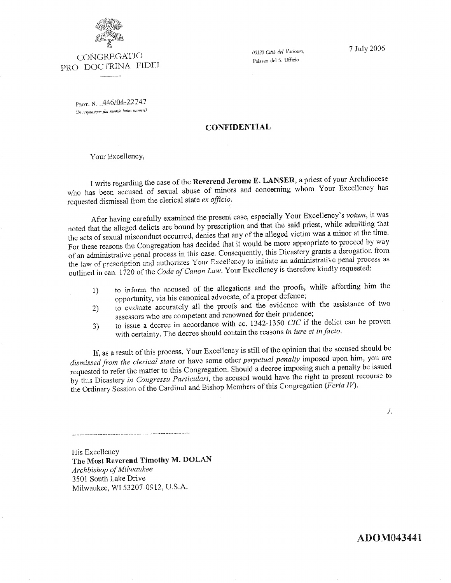

CONGREGATIO PRO DOCTRINA FIDEI 00120 Città del Vaticano, Palazzo del S. Uffizio

7 July 2006

PROT. N. 446/04-22747 (In responsione fiat mentio buius numeri)

## **CONFIDENTIAL**

Your Excellency,

I write regarding the case of the Reverend Jerome E. LANSER, a priest of your Archdiocese who has been accused of sexual abuse of minors and concerning whom Your Excellency has requested dismissal from the clerical state ex officio.

After having carefully examined the present case, especially Your Excellency's votum, it was noted that the alleged delicts are bound by prescription and that the said priest, while admitting that the acts of sexual misconduct occurred, denies that any of the alleged victim was a minor at the time. For these reasons the Congregation has decided that it would be more appropriate to proceed by way of an administrative penal process in this case. Consequently, this Dicastery grants a derogation from the law of prescription and authorizes Your Excellency to initiate an administrative penal process as outlined in can. 1720 of the Code of Canon Law. Your Excellency is therefore kindly requested:

- to inform the accused of the allegations and the proofs, while affording him the  $1)$ opportunity, via his canonical advocate, of a proper defence;
- to evaluate accurately all the proofs and the evidence with the assistance of two  $2)$ assessors who are competent and renowned for their prudence;
- to issue a decree in accordance with cc.  $1342-1350$  CIC if the delict can be proven  $3)$ with certainty. The decree should contain the reasons in iure et in facto.

If, as a result of this process, Your Excellency is still of the opinion that the accused should be dismissed from the clerical state or have some other perpetual penalty imposed upon him, you are requested to refer the matter to this Congregation. Should a decree imposing such a penalty be issued by this Dicastery in Congressu Particulari, the accused would have the right to present recourse to the Ordinary Session of the Cardinal and Bishop Members of this Congregation (Feria IV).

 $J_{\star}$ 

His Excellency The Most Reverend Timothy M. DOLAN Archbishop of Milwaukee 3501 South Lake Drive Milwaukee, WI 53207-0912, U.S.A.

**ADOM043441**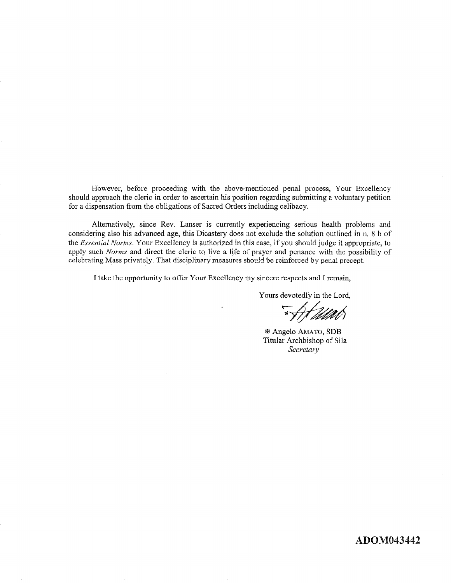However, before proceeding with the above-mentioned penal process, Your Excellency should approach the cleric in order to ascertain hís position regarding submitting a voluntary petition for a dispensation from the obligations of Sacred Orders including celibacy.

Alternatively, since Rev. Lanser is currently experiencing serious health problems and considering also his advanced age, this Dicastery docs not exclude the solution outlined in n. 8 b of the Essential Norms. Your Excellency is authorized in this case, if you should judge it appropriate, to apply such Norms and direct the cleric to live a life of prayer and penance with the possibility of celebrating Mass privately. That disciplinary measures should be reinforced by penal precept.

I take the opportunity to offer Your Excellency my sincere respects and I remain,

Yours devotedly in the Lord,

"\At 211ab

**\* Angelo AMATO, SDB** Titular Archbishop of Sila Secretary

### ADOM043442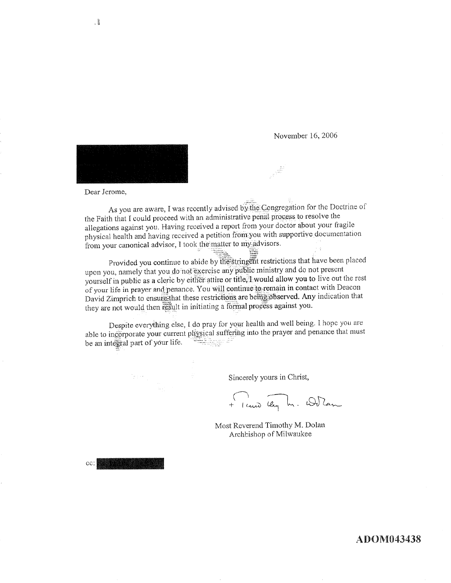November 16, 2006



Dear Jerome,

As you are aware, I was recently advised by the Congregation for the Doctrine of the Faith that I could proceed with an administrative penal process to resolve the allegations against you. Having received a report from your doctor about your fragile physical health and having received a petition from you with supportive documentation from your canonical advisor, I took the matter to my advisors.

Provided you continue to abide by the stringent restrictions that have been placed upon you, namely that you do not exercise any public ministry and do not present yourself in public as a cleric by either attire or title. I would allow you to live out the rest of your life in prayer and penance. You will continue to remain in contact with Deacon David Zimprich to ensure that these restrictions are being observed. Any indication that they are not would then result in initiating a formal process against you.

Despite everything else, I do pray for your health and well being. I hope you are able to incorporate your current physical suffering into the prayer and penance that must be an integral part of your life.

Sincerely yours in Christ,

+ 1 cuis day In. Wilcom

Most Reverend Timothy M. Dolan Archbishop of Milwaukee

CC:

,  $\|$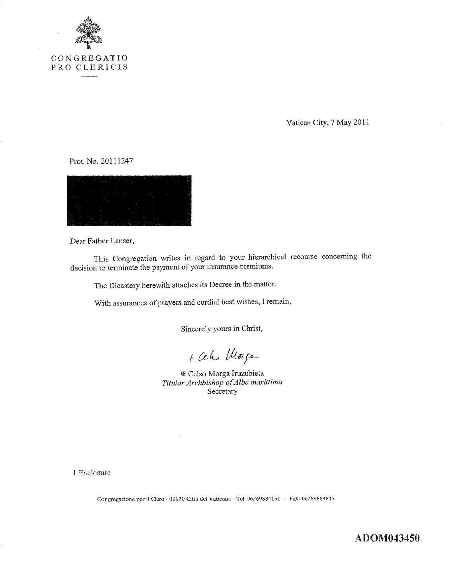

Vatican City, 7 May 2011

Prot. No. 20111247



Dear Father Lanser,

This Congregation writes in regard to your hierarchical recourse concerning the decision to terminate the payment of your insurance premiums.

The Dicastery herewith attaches its Decree in the matter.

With assurances of prayers and cordial best wishes, I remain,

Sincerely yours in Christ,

+ Ceho Morge

**E** Celso Morga Iruzubieta Titular Archbishop of Alba marittima Secretary

1 Enclosure

Congregazione per il Clero - 00120 Città del Vaticano - Tel. 06/69884151 - FAX: 06/69884845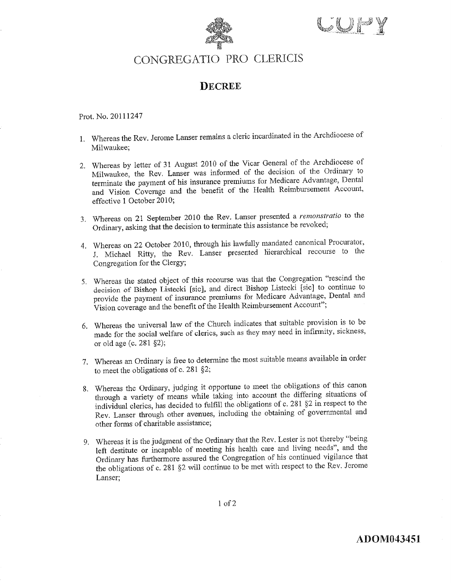



# CONGREGATIO PRO CLERICIS

## **DECREE**

Prot. No. 20111247

- 1. Whereas the Rev. Jerome Lanser remains a cleric incardinated in the Archdiocese of Milwaukee;
- 2. Whereas by letter of 31 August 2010 of the Vicar General of the Archdiocese of Milwaukee, the Rev. Lanser was informed of the decision of the Ordinary to terminate the payment of his insurance premiums for Medicare Advantage, Dental and Vision Coverage and the benefit of the Health Reimbursement Account, effective 1 October 2010;
- 3. Whereas on 21 September 2010 the Rev. Lanser presented a remonstratio to the Ordinary, asking that the decision to terminate this assistance be revoked;
- 4. Whereas on 22 October 2010, through his lawfully mandated canonical Procurator, J. Michael Ritty, the Rev. Lanser presented hierarchical recourse to the Congregation for the Clergy;
- 5. Whereas the stated object of this recourse was that the Congregation "rescind the decision of Bishop Listecki [sic], and direct Bishop Listecki [sic] to continue to provide the payment of insurance premiums for Medicare Advantage, Dental and Vision coverage and the benefit of the Health Reimbursement Account";
- 6. Whereas the universal law of the Church indicates that suitable provision is to be made for the social welfare of clerics, such as they may need in infirmity, sickness, or old age (c. 281  $\S$ 2);
- 7. Whereas an Ordinary is free to determine the most suitable means available in order to meet the obligations of c. 281  $\S$ 2;
- 8. Whereas the Ordinary, judging it opportune to meet the obligations of this canon through a variety of means while taking into account the differing situations of individual clerics, has decided to fulfill the obligations of c. 281 §2 in respect to the Rev. Lanser through other avenues, including the obtaining of governmental and other forms of charitable assistance;
- 9. Whereas it is the judgment of the Ordinary that the Rev. Lester is not thereby "being left destitute or incapable of meeting his health care and living needs", and the Ordinary has furthermore assured the Congregation of his continued vigilance that the obligations of c. 281 §2 will continue to be met with respect to the Rev. Jerome Lanser;

 $1<sub>of</sub>2$